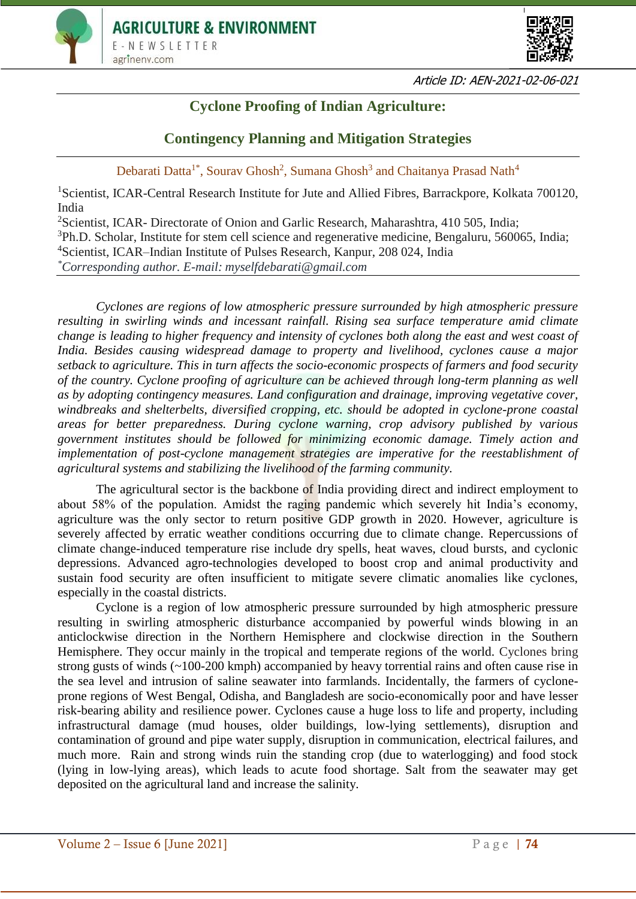



Article ID: AEN-2021-02-06-021

# **Cyclone Proofing of Indian Agriculture:**

## **Contingency Planning and Mitigation Strategies**

Debarati Datta<sup>1\*</sup>, Sourav Ghosh<sup>2</sup>, Sumana Ghosh<sup>3</sup> and Chaitanya Prasad Nath<sup>4</sup>

<sup>1</sup>Scientist, ICAR-Central Research Institute for Jute and Allied Fibres, Barrackpore, Kolkata 700120, India

<sup>2</sup>Scientist, ICAR- Directorate of Onion and Garlic Research, Maharashtra, 410 505, India; <sup>3</sup>Ph.D. Scholar, Institute for stem cell science and regenerative medicine, Bengaluru, 560065, India; <sup>4</sup>Scientist, ICAR–Indian Institute of Pulses Research, Kanpur, 208 024, India *\*Corresponding author. E-mail: myselfdebarati@gmail.com*

*Cyclones are regions of low atmospheric pressure surrounded by high atmospheric pressure resulting in swirling winds and incessant rainfall. Rising sea surface temperature amid climate change is leading to higher frequency and intensity of cyclones both along the east and west coast of India. Besides causing widespread damage to property and livelihood, cyclones cause a major setback to agriculture. This in turn affects the socio-economic prospects of farmers and food security of the country. Cyclone proofing of agriculture can be achieved through long-term planning as well as by adopting contingency measures. Land configuration and drainage, improving vegetative cover, windbreaks and shelterbelts, diversified cropping, etc. should be adopted in cyclone-prone coastal areas for better preparedness. During cyclone warning, crop advisory published by various government institutes should be followed for minimizing economic damage. Timely action and implementation of post-cyclone management strategies are imperative for the reestablishment of agricultural systems and stabilizing the livelihood of the farming community.* 

The agricultural sector is the backbone of India providing direct and indirect employment to about 58% of the population. Amidst the raging pandemic which severely hit India's economy, agriculture was the only sector to return positive GDP growth in 2020. However, agriculture is severely affected by erratic weather conditions occurring due to climate change. Repercussions of climate change-induced temperature rise include dry spells, heat waves, cloud bursts, and cyclonic depressions. Advanced agro-technologies developed to boost crop and animal productivity and sustain food security are often insufficient to mitigate severe climatic anomalies like cyclones, especially in the coastal districts.

Cyclone is a region of low atmospheric pressure surrounded by high atmospheric pressure resulting in swirling atmospheric disturbance accompanied by powerful winds blowing in an anticlockwise direction in the Northern Hemisphere and clockwise direction in the Southern Hemisphere. They occur mainly in the tropical and temperate regions of the world. Cyclones bring strong gusts of winds (~100-200 kmph) accompanied by heavy torrential rains and often cause rise in the sea level and intrusion of saline seawater into farmlands. Incidentally, the farmers of cycloneprone regions of West Bengal, Odisha, and Bangladesh are socio-economically poor and have lesser risk-bearing ability and resilience power. Cyclones cause a huge loss to life and property, including infrastructural damage (mud houses, older buildings, low-lying settlements), disruption and contamination of ground and pipe water supply, disruption in communication, electrical failures, and much more. Rain and strong winds ruin the standing crop (due to waterlogging) and food stock (lying in low-lying areas), which leads to acute food shortage. Salt from the seawater may get deposited on the agricultural land and increase the salinity.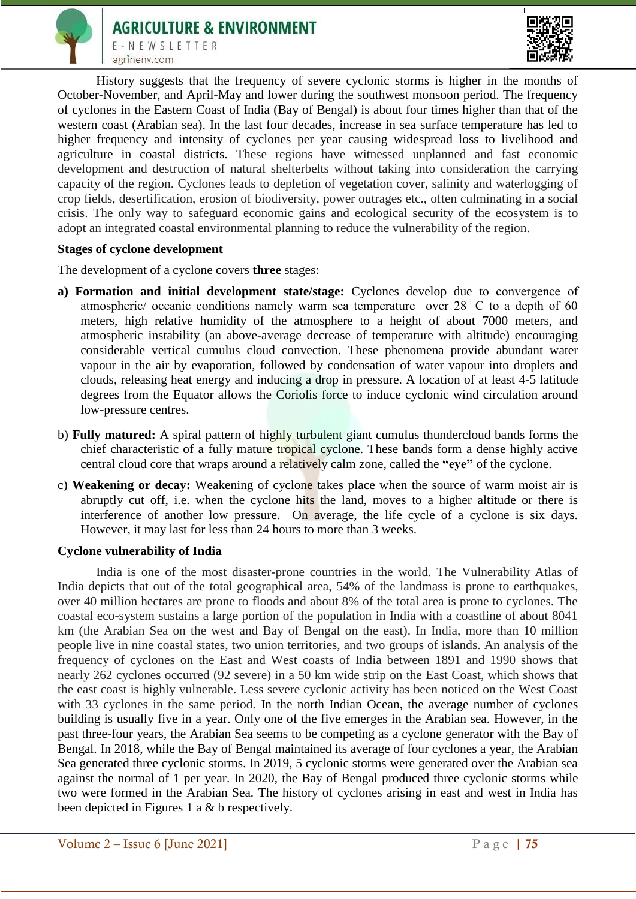



History suggests that the frequency of severe cyclonic storms is higher in the months of October-November, and April-May and lower during the southwest monsoon period. The frequency of cyclones in the Eastern Coast of India (Bay of Bengal) is about four times higher than that of the western coast (Arabian sea). In the last four decades, increase in sea surface temperature has led to higher frequency and intensity of cyclones per year causing widespread loss to livelihood and agriculture in coastal districts. These regions have witnessed unplanned and fast economic development and destruction of natural shelterbelts without taking into consideration the carrying capacity of the region. Cyclones leads to depletion of vegetation cover, salinity and waterlogging of crop fields, desertification, erosion of biodiversity, power outrages etc., often culminating in a social crisis. The only way to safeguard economic gains and ecological security of the ecosystem is to adopt an integrated coastal environmental planning to reduce the vulnerability of the region.

### **Stages of cyclone development**

The development of a cyclone covers **three** stages:

- **a) Formation and initial development state/stage:** Cyclones develop due to convergence of atmospheric/ oceanic conditions namely warm sea temperature over 28 ̊ C to a depth of 60 meters, high relative humidity of the atmosphere to a height of about 7000 meters, and atmospheric instability (an above-average decrease of temperature with altitude) encouraging considerable vertical cumulus cloud convection. These phenomena provide abundant water vapour in the air by evaporation, followed by condensation of water vapour into droplets and clouds, releasing heat energy and inducing a drop in pressure. A location of at least 4-5 latitude degrees from the Equator allows the Coriolis force to induce cyclonic wind circulation around low-pressure centres.
- b) **Fully matured:** A spiral pattern of highly turbulent giant cumulus thundercloud bands forms the chief characteristic of a fully mature tropical cyclone. These bands form a dense highly active central cloud core that wraps around a relatively calm zone, called the **"eye"** of the cyclone.
- c) **Weakening or decay:** Weakening of cyclone takes place when the source of warm moist air is abruptly cut off, i.e. when the cyclone hits the land, moves to a higher altitude or there is interference of another low pressure. On average, the life cycle of a cyclone is six days. However, it may last for less than 24 hours to more than 3 weeks.

#### **Cyclone vulnerability of India**

India is one of the most disaster-prone countries in the world. The Vulnerability Atlas of India depicts that out of the total geographical area, 54% of the landmass is prone to earthquakes, over 40 million hectares are prone to floods and about 8% of the total area is prone to cyclones. The coastal eco-system sustains a large portion of the population in India with a coastline of about 8041 km (the Arabian Sea on the west and Bay of Bengal on the east). In India, more than 10 million people live in nine coastal states, two union territories, and two groups of islands. An analysis of the frequency of cyclones on the East and West coasts of India between 1891 and 1990 shows that nearly 262 cyclones occurred (92 severe) in a 50 km wide strip on the East Coast, which shows that the east coast is highly vulnerable. Less severe cyclonic activity has been noticed on the West Coast with 33 cyclones in the same period. In the north Indian Ocean, the average number of cyclones building is usually five in a year. Only one of the five emerges in the Arabian sea. However, in the past three-four years, the Arabian Sea seems to be competing as a cyclone generator with the Bay of Bengal. In 2018, while the Bay of Bengal maintained its average of four cyclones a year, the Arabian Sea generated three cyclonic storms. In 2019, 5 cyclonic storms were generated over the Arabian sea against the normal of 1 per year. In 2020, the Bay of Bengal produced three cyclonic storms while two were formed in the Arabian Sea. The history of cyclones arising in east and west in India has been depicted in Figures 1 a & b respectively.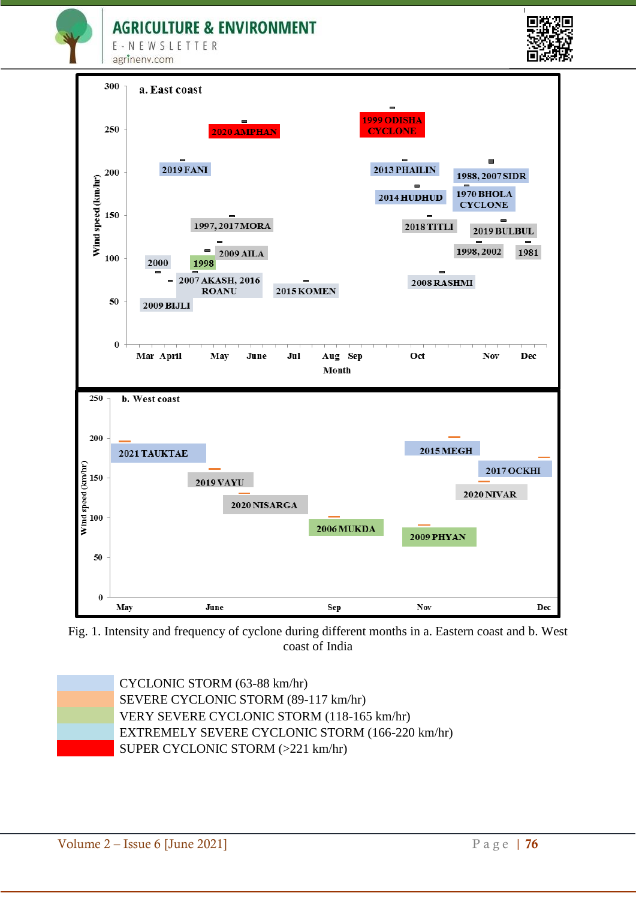**AGRICULTURE & ENVIRONMENT** 

E-NEWSLETTER agrineny.com





Fig. 1. Intensity and frequency of cyclone during different months in a. Eastern coast and b. West coast of India

CYCLONIC STORM (63-88 km/hr) SEVERE CYCLONIC STORM (89-117 km/hr) VERY SEVERE CYCLONIC STORM (118-165 km/hr) EXTREMELY SEVERE CYCLONIC STORM (166-220 km/hr) SUPER CYCLONIC STORM (>221 km/hr)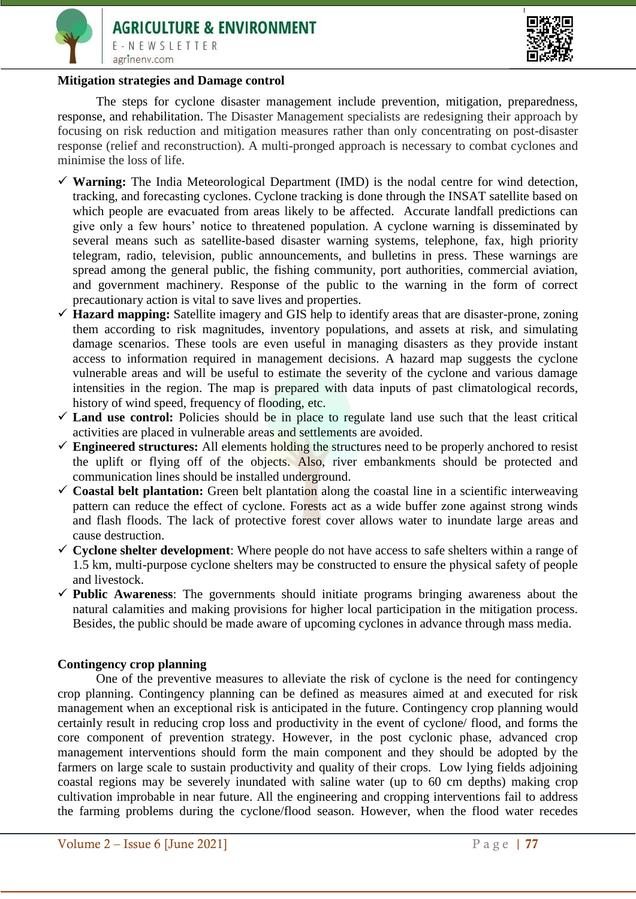



#### **Mitigation strategies and Damage control**

The steps for cyclone disaster management include prevention, mitigation, preparedness, response, and rehabilitation. The Disaster Management specialists are redesigning their approach by focusing on risk reduction and mitigation measures rather than only concentrating on post-disaster response (relief and reconstruction). A multi-pronged approach is necessary to combat cyclones and minimise the loss of life.

- **Warning:** The India Meteorological Department (IMD) is the nodal centre for wind detection, tracking, and forecasting cyclones. Cyclone tracking is done through the INSAT satellite based on which people are evacuated from areas likely to be affected. Accurate landfall predictions can give only a few hours' notice to threatened population. A cyclone warning is disseminated by several means such as satellite-based disaster warning systems, telephone, fax, high priority telegram, radio, television, public announcements, and bulletins in press. These warnings are spread among the general public, the fishing community, port authorities, commercial aviation, and government machinery. Response of the public to the warning in the form of correct precautionary action is vital to save lives and properties.
- **Hazard mapping:** Satellite imagery and GIS help to identify areas that are disaster-prone, zoning them according to risk magnitudes, inventory populations, and assets at risk, and simulating damage scenarios. These tools are even useful in managing disasters as they provide instant access to information required in management decisions. A hazard map suggests the cyclone vulnerable areas and will be useful to estimate the severity of the cyclone and various damage intensities in the region. The map is prepared with data inputs of past climatological records, history of wind speed, frequency of flooding, etc.
- $\checkmark$  Land use control: Policies should be in place to regulate land use such that the least critical activities are placed in vulnerable areas and settlements are avoided.
- **Engineered structures:** All elements holding the structures need to be properly anchored to resist the uplift or flying off of the objects. Also, river embankments should be protected and communication lines should be installed underground.
- $\checkmark$  Coastal belt plantation: Green belt plantation along the coastal line in a scientific interweaving pattern can reduce the effect of cyclone. Forests act as a wide buffer zone against strong winds and flash floods. The lack of protective forest cover allows water to inundate large areas and cause destruction.
- $\checkmark$  Cyclone shelter development: Where people do not have access to safe shelters within a range of 1.5 km, multi-purpose cyclone shelters may be constructed to ensure the physical safety of people and livestock.
- $\checkmark$  Public Awareness: The governments should initiate programs bringing awareness about the natural calamities and making provisions for higher local participation in the mitigation process. Besides, the public should be made aware of upcoming cyclones in advance through mass media.

#### **Contingency crop planning**

One of the preventive measures to alleviate the risk of cyclone is the need for contingency crop planning. Contingency planning can be defined as measures aimed at and executed for risk management when an exceptional risk is anticipated in the future. Contingency crop planning would certainly result in reducing crop loss and productivity in the event of cyclone/ flood, and forms the core component of prevention strategy. However, in the post cyclonic phase, advanced crop management interventions should form the main component and they should be adopted by the farmers on large scale to sustain productivity and quality of their crops. Low lying fields adjoining coastal regions may be severely inundated with saline water (up to 60 cm depths) making crop cultivation improbable in near future. All the engineering and cropping interventions fail to address the farming problems during the cyclone/flood season. However, when the flood water recedes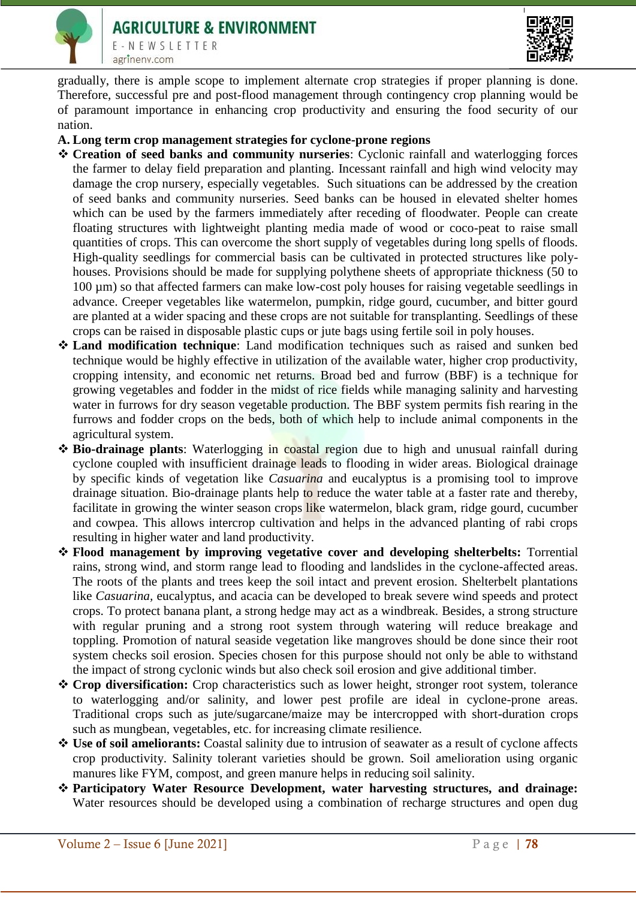

gradually, there is ample scope to implement alternate crop strategies if proper planning is done. Therefore, successful pre and post-flood management through contingency crop planning would be of paramount importance in enhancing crop productivity and ensuring the food security of our nation.

- **A. Long term crop management strategies for cyclone-prone regions**
- **Creation of seed banks and community nurseries**: Cyclonic rainfall and waterlogging forces the farmer to delay field preparation and planting. Incessant rainfall and high wind velocity may damage the crop nursery, especially vegetables. Such situations can be addressed by the creation of seed banks and community nurseries. Seed banks can be housed in elevated shelter homes which can be used by the farmers immediately after receding of floodwater. People can create floating structures with lightweight planting media made of wood or coco-peat to raise small quantities of crops. This can overcome the short supply of vegetables during long spells of floods. High-quality seedlings for commercial basis can be cultivated in protected structures like polyhouses. Provisions should be made for supplying polythene sheets of appropriate thickness (50 to 100 µm) so that affected farmers can make low-cost poly houses for raising vegetable seedlings in advance. Creeper vegetables like watermelon, pumpkin, ridge gourd, cucumber, and bitter gourd are planted at a wider spacing and these crops are not suitable for transplanting. Seedlings of these crops can be raised in disposable plastic cups or jute bags using fertile soil in poly houses.
- **Land modification technique**: Land modification techniques such as raised and sunken bed technique would be highly effective in utilization of the available water, higher crop productivity, cropping intensity, and economic net returns. Broad bed and furrow (BBF) is a technique for growing vegetables and fodder in the midst of rice fields while managing salinity and harvesting water in furrows for dry season vegetable production. The BBF system permits fish rearing in the furrows and fodder crops on the beds, both of which help to include animal components in the agricultural system.
- **Bio-drainage plants**: Waterlogging in coastal region due to high and unusual rainfall during cyclone coupled with insufficient drainage leads to flooding in wider areas. Biological drainage by specific kinds of vegetation like *Casuarina* and eucalyptus is a promising tool to improve drainage situation. Bio-drainage plants help to reduce the water table at a faster rate and thereby, facilitate in growing the winter season crops like watermelon, black gram, ridge gourd, cucumber and cowpea. This allows intercrop cultivation and helps in the advanced planting of rabi crops resulting in higher water and land productivity.
- **Flood management by improving vegetative cover and developing shelterbelts:** Torrential rains, strong wind, and storm range lead to flooding and landslides in the cyclone-affected areas. The roots of the plants and trees keep the soil intact and prevent erosion. Shelterbelt plantations like *Casuarina*, eucalyptus, and acacia can be developed to break severe wind speeds and protect crops. To protect banana plant, a strong hedge may act as a windbreak. Besides, a strong structure with regular pruning and a strong root system through watering will reduce breakage and toppling. Promotion of natural seaside vegetation like mangroves should be done since their root system checks soil erosion. Species chosen for this purpose should not only be able to withstand the impact of strong cyclonic winds but also check soil erosion and give additional timber.
- **Crop diversification:** Crop characteristics such as lower height, stronger root system, tolerance to waterlogging and/or salinity, and lower pest profile are ideal in cyclone-prone areas. Traditional crops such as jute/sugarcane/maize may be intercropped with short-duration crops such as mungbean, vegetables, etc. for increasing climate resilience.
- **Use of soil ameliorants:** Coastal salinity due to intrusion of seawater as a result of cyclone affects crop productivity. Salinity tolerant varieties should be grown. Soil amelioration using organic manures like FYM, compost, and green manure helps in reducing soil salinity.
- **Participatory Water Resource Development, water harvesting structures, and drainage:**  Water resources should be developed using a combination of recharge structures and open dug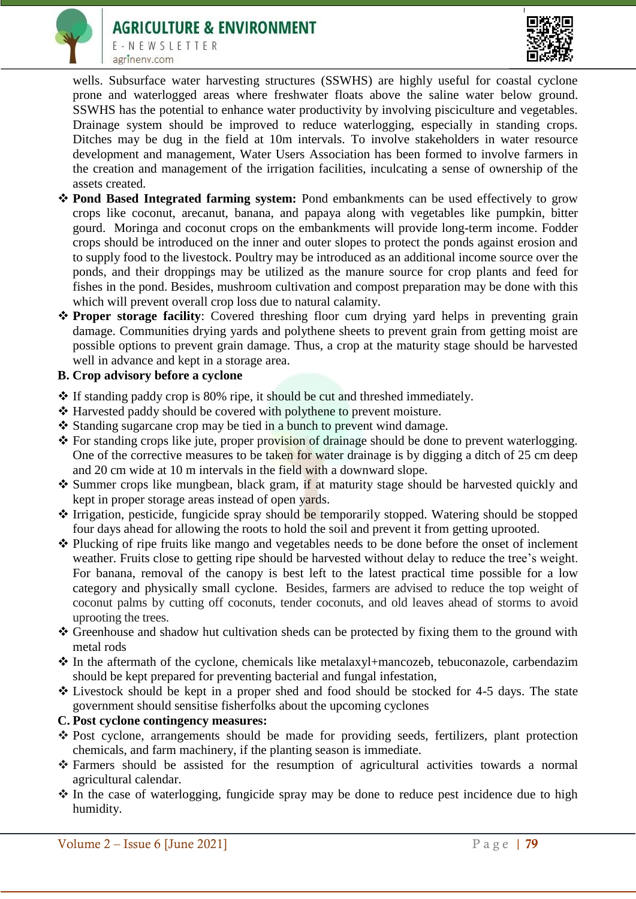



E-NEWSLETTER agrinenv.com

wells. Subsurface water harvesting structures (SSWHS) are highly useful for coastal cyclone prone and waterlogged areas where freshwater floats above the saline water below ground. SSWHS has the potential to enhance water productivity by involving pisciculture and vegetables. Drainage system should be improved to reduce waterlogging, especially in standing crops. Ditches may be dug in the field at 10m intervals. To involve stakeholders in water resource development and management, Water Users Association has been formed to involve farmers in the creation and management of the irrigation facilities, inculcating a sense of ownership of the assets created.

- **Pond Based Integrated farming system:** Pond embankments can be used effectively to grow crops like coconut, arecanut, banana, and papaya along with vegetables like pumpkin, bitter gourd. Moringa and coconut crops on the embankments will provide long-term income. Fodder crops should be introduced on the inner and outer slopes to protect the ponds against erosion and to supply food to the livestock. Poultry may be introduced as an additional income source over the ponds, and their droppings may be utilized as the manure source for crop plants and feed for fishes in the pond. Besides, mushroom cultivation and compost preparation may be done with this which will prevent overall crop loss due to natural calamity.
- **Proper storage facility**: Covered threshing floor cum drying yard helps in preventing grain damage. Communities drying yards and polythene sheets to prevent grain from getting moist are possible options to prevent grain damage. Thus, a crop at the maturity stage should be harvested well in advance and kept in a storage area.

## **B. Crop advisory before a cyclone**

- $\cdot$  If standing paddy crop is 80% ripe, it should be cut and threshed immediately.
- Harvested paddy should be covered with polythene to prevent moisture.
- $\triangle$  Standing sugarcane crop may be tied in a bunch to prevent wind damage.
- \* For standing crops like jute, proper provision of drainage should be done to prevent waterlogging. One of the corrective measures to be taken for water drainage is by digging a ditch of 25 cm deep and 20 cm wide at 10 m intervals in the field with a downward slope.
- \* Summer crops like mungbean, black gram, if at maturity stage should be harvested quickly and kept in proper storage areas instead of open yards.
- **◆ Irrigation, pesticide, fungicide spray should be temporarily stopped. Watering should be stopped** four days ahead for allowing the roots to hold the soil and prevent it from getting uprooted.
- Plucking of ripe fruits like mango and vegetables needs to be done before the onset of inclement weather. Fruits close to getting ripe should be harvested without delay to reduce the tree's weight. For banana, removal of the canopy is best left to the latest practical time possible for a low category and physically small cyclone. Besides, farmers are advised to reduce the top weight of coconut palms by cutting off coconuts, tender coconuts, and old leaves ahead of storms to avoid uprooting the trees.
- \* Greenhouse and shadow hut cultivation sheds can be protected by fixing them to the ground with metal rods
- In the aftermath of the cyclone, chemicals like metalaxyl+mancozeb, tebuconazole, carbendazim should be kept prepared for preventing bacterial and fungal infestation,
- Livestock should be kept in a proper shed and food should be stocked for 4-5 days. The state government should sensitise fisherfolks about the upcoming cyclones
- **C. Post cyclone contingency measures:**
- \* Post cyclone, arrangements should be made for providing seeds, fertilizers, plant protection chemicals, and farm machinery, if the planting season is immediate.
- Farmers should be assisted for the resumption of agricultural activities towards a normal agricultural calendar.
- $\cdot$  In the case of waterlogging, fungicide spray may be done to reduce pest incidence due to high humidity.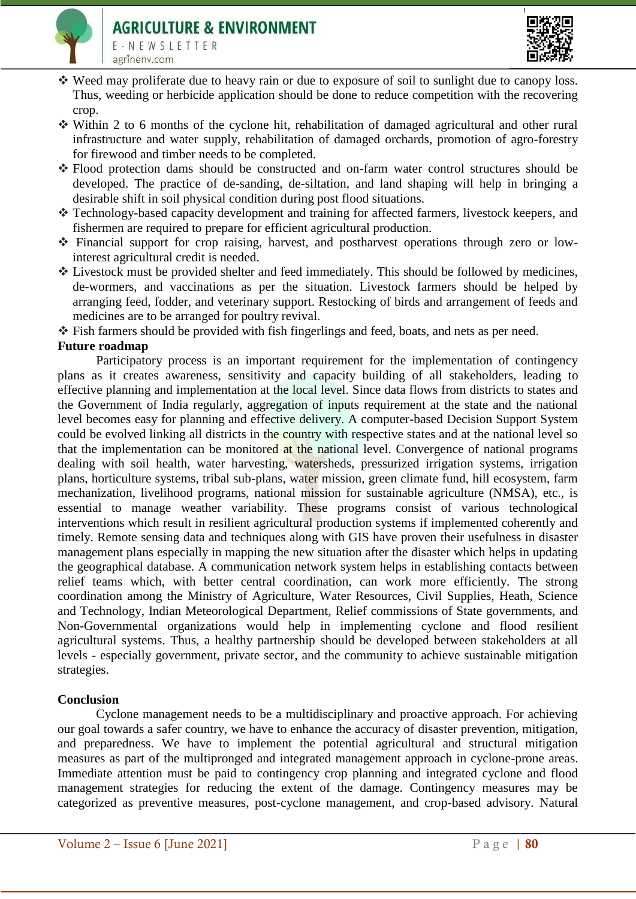



- Weed may proliferate due to heavy rain or due to exposure of soil to sunlight due to canopy loss. Thus, weeding or herbicide application should be done to reduce competition with the recovering crop.
- Within 2 to 6 months of the cyclone hit, rehabilitation of damaged agricultural and other rural infrastructure and water supply, rehabilitation of damaged orchards, promotion of agro-forestry for firewood and timber needs to be completed.
- Flood protection dams should be constructed and on-farm water control structures should be developed. The practice of de-sanding, de-siltation, and land shaping will help in bringing a desirable shift in soil physical condition during post flood situations.
- Technology-based capacity development and training for affected farmers, livestock keepers, and fishermen are required to prepare for efficient agricultural production.
- Financial support for crop raising, harvest, and postharvest operations through zero or lowinterest agricultural credit is needed.
- Livestock must be provided shelter and feed immediately. This should be followed by medicines, de-wormers, and vaccinations as per the situation. Livestock farmers should be helped by arranging feed, fodder, and veterinary support. Restocking of birds and arrangement of feeds and medicines are to be arranged for poultry revival.
- Fish farmers should be provided with fish fingerlings and feed, boats, and nets as per need.

## **Future roadmap**

Participatory process is an important requirement for the implementation of contingency plans as it creates awareness, sensitivity and capacity building of all stakeholders, leading to effective planning and implementation at the local level. Since data flows from districts to states and the Government of India regularly, aggregation of inputs requirement at the state and the national level becomes easy for planning and effective delivery. A computer-based Decision Support System could be evolved linking all districts in the country with respective states and at the national level so that the implementation can be monitored at the national level. Convergence of national programs dealing with soil health, water harvesting, watersheds, pressurized irrigation systems, irrigation plans, horticulture systems, tribal sub-plans, water mission, green climate fund, hill ecosystem, farm mechanization, livelihood programs, national mission for sustainable agriculture (NMSA), etc., is essential to manage weather variability. These programs consist of various technological interventions which result in resilient agricultural production systems if implemented coherently and timely. Remote sensing data and techniques along with GIS have proven their usefulness in disaster management plans especially in mapping the new situation after the disaster which helps in updating the geographical database. A communication network system helps in establishing contacts between relief teams which, with better central coordination, can work more efficiently. The strong coordination among the Ministry of Agriculture, Water Resources, Civil Supplies, Heath, Science and Technology, Indian Meteorological Department, Relief commissions of State governments, and Non-Governmental organizations would help in implementing cyclone and flood resilient agricultural systems. Thus, a healthy partnership should be developed between stakeholders at all levels - especially government, private sector, and the community to achieve sustainable mitigation strategies.

## **Conclusion**

Cyclone management needs to be a multidisciplinary and proactive approach. For achieving our goal towards a safer country, we have to enhance the accuracy of disaster prevention, mitigation, and preparedness. We have to implement the potential agricultural and structural mitigation measures as part of the multipronged and integrated management approach in cyclone-prone areas. Immediate attention must be paid to contingency crop planning and integrated cyclone and flood management strategies for reducing the extent of the damage. Contingency measures may be categorized as preventive measures, post-cyclone management, and crop-based advisory. Natural